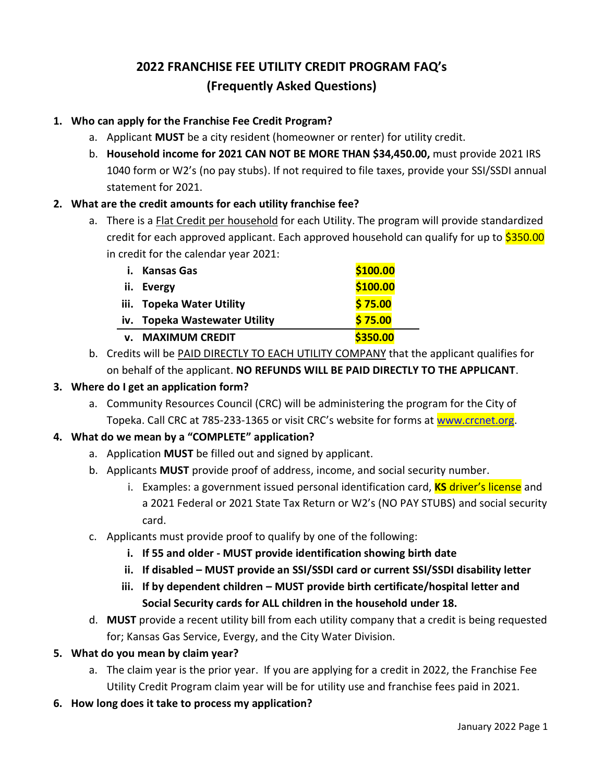# **2022 FRANCHISE FEE UTILITY CREDIT PROGRAM FAQ's (Frequently Asked Questions)**

## **1. Who can apply for the Franchise Fee Credit Program?**

- a. Applicant **MUST** be a city resident (homeowner or renter) for utility credit.
- b. **Household income for 2021 CAN NOT BE MORE THAN \$34,450.00,** must provide 2021 IRS 1040 form or W2's (no pay stubs). If not required to file taxes, provide your SSI/SSDI annual statement for 2021.

# **2. What are the credit amounts for each utility franchise fee?**

a. There is a Flat Credit per household for each Utility. The program will provide standardized credit for each approved applicant. Each approved household can qualify for up to \$350.00 in credit for the calendar year 2021:

| i. Kansas Gas                 | \$100.00 |
|-------------------------------|----------|
| ii. Evergy                    | \$100.00 |
| iii. Topeka Water Utility     | \$75.00  |
| iv. Topeka Wastewater Utility | \$75.00  |
| <b>v. MAXIMUM CREDIT</b>      | \$350.00 |

b. Credits will be PAID DIRECTLY TO EACH UTILITY COMPANY that the applicant qualifies for on behalf of the applicant. **NO REFUNDS WILL BE PAID DIRECTLY TO THE APPLICANT**.

#### **3. Where do I get an application form?**

a. Community Resources Council (CRC) will be administering the program for the City of Topeka. Call CRC at 785-233-1365 or visit CRC's website for forms at [www.crcnet.org.](http://www.crcnet.org/)

## **4. What do we mean by a "COMPLETE" application?**

- a. Application **MUST** be filled out and signed by applicant.
- b. Applicants **MUST** provide proof of address, income, and social security number.
	- i. Examples: a government issued personal identification card, **KS** driver's license and a 2021 Federal or 2021 State Tax Return or W2's (NO PAY STUBS) and social security card.
- c. Applicants must provide proof to qualify by one of the following:
	- **i. If 55 and older - MUST provide identification showing birth date**
	- **ii. If disabled – MUST provide an SSI/SSDI card or current SSI/SSDI disability letter**
	- **iii. If by dependent children – MUST provide birth certificate/hospital letter and Social Security cards for ALL children in the household under 18.**
- d. **MUST** provide a recent utility bill from each utility company that a credit is being requested for; Kansas Gas Service, Evergy, and the City Water Division.

## **5. What do you mean by claim year?**

- a. The claim year is the prior year. If you are applying for a credit in 2022, the Franchise Fee Utility Credit Program claim year will be for utility use and franchise fees paid in 2021.
- **6. How long does it take to process my application?**